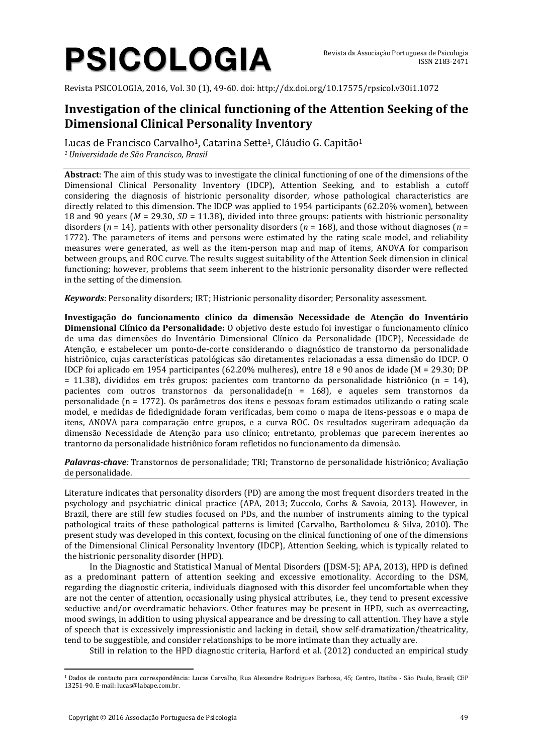# **PSICOLOGIA**

Revista PSICOLOGIA, 2016, Vol. 30 (1), 49-60. doi: http://dx.doi.org/10.17575/rpsicol.v30i1.1072

# **Investigation of the clinical functioning of the Attention Seeking of the Dimensional Clinical Personality Inventory**

Lucas de Francisco Carvalho<sup>1</sup>, Catarina Sette<sup>1</sup>, Cláudio G. Capitão<sup>1</sup> *<sup>1</sup>Universidade de São Francisco, Brasil*

**Abstract**: The aim of this study was to investigate the clinical functioning of one of the dimensions of the Dimensional Clinical Personality Inventory (IDCP), Attention Seeking, and to establish a cutoff considering the diagnosis of histrionic personality disorder, whose pathological characteristics are directly related to this dimension. The IDCP was applied to 1954 participants (62.20% women), between 18 and 90 years (*M* = 29.30, *SD* = 11.38), divided into three groups: patients with histrionic personality disorders (*n* = 14), patients with other personality disorders (*n* = 168), and those without diagnoses (*n* = 1772). The parameters of items and persons were estimated by the rating scale model, and reliability measures were generated, as well as the item-person map and map of items, ANOVA for comparison between groups, and ROC curve. The results suggest suitability of the Attention Seek dimension in clinical functioning; however, problems that seem inherent to the histrionic personality disorder were reflected in the setting of the dimension.

*Keywords*: Personality disorders; IRT; Histrionic personality disorder; Personality assessment.

**Investigação do funcionamento clínico da dimensão Necessidade de Atenção do Inventário Dimensional Clínico da Personalidade:** O objetivo deste estudo foi investigar o funcionamento clínico de uma das dimensões do Inventário Dimensional Clínico da Personalidade (IDCP), Necessidade de Atenção, e estabelecer um ponto-de-corte considerando o diagnóstico de transtorno da personalidade histriônico, cujas características patológicas são diretamentes relacionadas a essa dimensão do IDCP. O IDCP foi aplicado em 1954 participantes (62.20% mulheres), entre 18 e 90 anos de idade (M = 29.30; DP = 11.38), divididos em três grupos: pacientes com trantorno da personalidade histriônico (n = 14), pacientes com outros transtornos da personalidade(n = 168), e aqueles sem transtornos da personalidade (n = 1772). Os parâmetros dos itens e pessoas foram estimados utilizando o rating scale model, e medidas de fidedignidade foram verificadas, bem como o mapa de itens-pessoas e o mapa de itens, ANOVA para comparação entre grupos, e a curva ROC. Os resultados sugeriram adequação da dimensão Necessidade de Atenção para uso clínico; entretanto, problemas que parecem inerentes ao trantorno da personalidade histriônico foram refletidos no funcionamento da dimensão.

*Palavras-chave:* Transtornos de personalidade; TRI; Transtorno de personalidade histriônico; Avaliação de personalidade.

Literature indicates that personality disorders (PD) are among the most frequent disorders treated in the psychology and psychiatric clinical practice (APA, 2013; Zuccolo, Corhs & Savoia, 2013). However, in Brazil, there are still few studies focused on PDs, and the number of instruments aiming to the typical pathological traits of these pathological patterns is limited (Carvalho, Bartholomeu & Silva, 2010). The present study was developed in this context, focusing on the clinical functioning of one of the dimensions of the Dimensional Clinical Personality Inventory (IDCP), Attention Seeking, which is typically related to the histrionic personality disorder (HPD).

In the Diagnostic and Statistical Manual of Mental Disorders ([DSM-5]; APA, 2013), HPD is defined as a predominant pattern of attention seeking and excessive emotionality. According to the DSM, regarding the diagnostic criteria, individuals diagnosed with this disorder feel uncomfortable when they are not the center of attention, occasionally using physical attributes, i.e., they tend to present excessive seductive and/or overdramatic behaviors. Other features may be present in HPD, such as overreacting, mood swings, in addition to using physical appearance and be dressing to call attention. They have a style of speech that is excessively impressionistic and lacking in detail, show self-dramatization/theatricality, tend to be suggestible, and consider relationships to be more intimate than they actually are.

Still in relation to the HPD diagnostic criteria, Harford et al. (2012) conducted an empirical study

 $\overline{a}$ <sup>1</sup> Dados de contacto para correspondência: Lucas Carvalho, Rua Alexandre Rodrigues Barbosa, 45; Centro, Itatiba - São Paulo, Brasil; CEP 13251-90. E-mail: lucas@labape.com.br.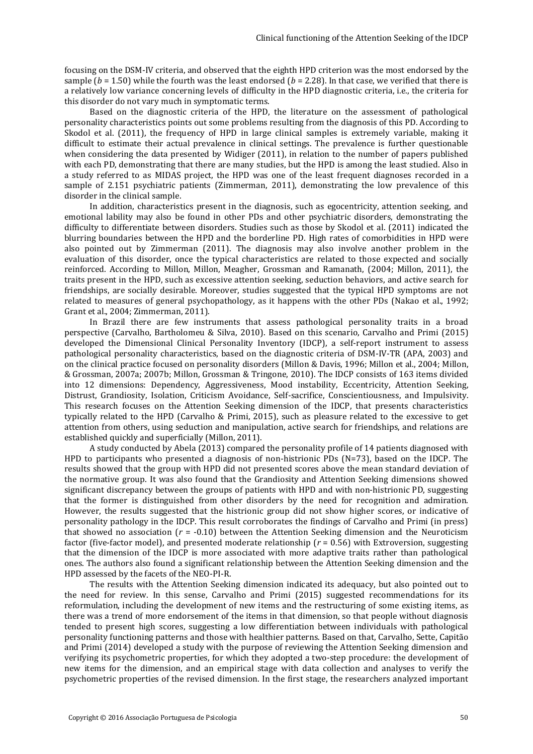focusing on the DSM-IV criteria, and observed that the eighth HPD criterion was the most endorsed by the sample ( $b = 1.50$ ) while the fourth was the least endorsed ( $b = 2.28$ ). In that case, we verified that there is a relatively low variance concerning levels of difficulty in the HPD diagnostic criteria, i.e., the criteria for this disorder do not vary much in symptomatic terms.

Based on the diagnostic criteria of the HPD, the literature on the assessment of pathological personality characteristics points out some problems resulting from the diagnosis of this PD. According to Skodol et al. (2011), the frequency of HPD in large clinical samples is extremely variable, making it difficult to estimate their actual prevalence in clinical settings. The prevalence is further questionable when considering the data presented by Widiger (2011), in relation to the number of papers published with each PD, demonstrating that there are many studies, but the HPD is among the least studied. Also in a study referred to as MIDAS project, the HPD was one of the least frequent diagnoses recorded in a sample of 2.151 psychiatric patients (Zimmerman, 2011), demonstrating the low prevalence of this disorder in the clinical sample.

In addition, characteristics present in the diagnosis, such as egocentricity, attention seeking, and emotional lability may also be found in other PDs and other psychiatric disorders, demonstrating the difficulty to differentiate between disorders. Studies such as those by Skodol et al. (2011) indicated the blurring boundaries between the HPD and the borderline PD. High rates of comorbidities in HPD were also pointed out by Zimmerman (2011). The diagnosis may also involve another problem in the evaluation of this disorder, once the typical characteristics are related to those expected and socially reinforced. According to Millon, Millon, Meagher, Grossman and Ramanath, (2004; Millon, 2011), the traits present in the HPD, such as excessive attention seeking, seduction behaviors, and active search for friendships, are socially desirable. Moreover, studies suggested that the typical HPD symptoms are not related to measures of general psychopathology, as it happens with the other PDs (Nakao et al., 1992; Grant et al., 2004; Zimmerman, 2011).

In Brazil there are few instruments that assess pathological personality traits in a broad perspective (Carvalho, Bartholomeu & Silva, 2010). Based on this scenario, Carvalho and Primi (2015) developed the Dimensional Clinical Personality Inventory (IDCP), a self-report instrument to assess pathological personality characteristics, based on the diagnostic criteria of DSM-IV-TR (APA, 2003) and on the clinical practice focused on personality disorders (Millon & Davis, 1996; Millon et al., 2004; Millon, & Grossman, 2007a; 2007b; Millon, Grossman & Tringone, 2010). The IDCP consists of 163 items divided into 12 dimensions: Dependency, Aggressiveness, Mood instability, Eccentricity, Attention Seeking, Distrust, Grandiosity, Isolation, Criticism Avoidance, Self-sacrifice, Conscientiousness, and Impulsivity. This research focuses on the Attention Seeking dimension of the IDCP, that presents characteristics typically related to the HPD (Carvalho & Primi, 2015), such as pleasure related to the excessive to get attention from others, using seduction and manipulation, active search for friendships, and relations are established quickly and superficially (Millon, 2011).

A study conducted by Abela (2013) compared the personality profile of 14 patients diagnosed with HPD to participants who presented a diagnosis of non-histrionic PDs (N=73), based on the IDCP. The results showed that the group with HPD did not presented scores above the mean standard deviation of the normative group. It was also found that the Grandiosity and Attention Seeking dimensions showed significant discrepancy between the groups of patients with HPD and with non-histrionic PD, suggesting that the former is distinguished from other disorders by the need for recognition and admiration. However, the results suggested that the histrionic group did not show higher scores, or indicative of personality pathology in the IDCP. This result corroborates the findings of Carvalho and Primi (in press) that showed no association (*r* = -0.10) between the Attention Seeking dimension and the Neuroticism factor (five-factor model), and presented moderate relationship (*r* = 0.56) with Extroversion, suggesting that the dimension of the IDCP is more associated with more adaptive traits rather than pathological ones. The authors also found a significant relationship between the Attention Seeking dimension and the HPD assessed by the facets of the NEO-PI-R.

The results with the Attention Seeking dimension indicated its adequacy, but also pointed out to the need for review. In this sense, Carvalho and Primi (2015) suggested recommendations for its reformulation, including the development of new items and the restructuring of some existing items, as there was a trend of more endorsement of the items in that dimension, so that people without diagnosis tended to present high scores, suggesting a low differentiation between individuals with pathological personality functioning patterns and those with healthier patterns. Based on that, Carvalho, Sette, Capitão and Primi (2014) developed a study with the purpose of reviewing the Attention Seeking dimension and verifying its psychometric properties, for which they adopted a two-step procedure: the development of new items for the dimension, and an empirical stage with data collection and analyses to verify the psychometric properties of the revised dimension. In the first stage, the researchers analyzed important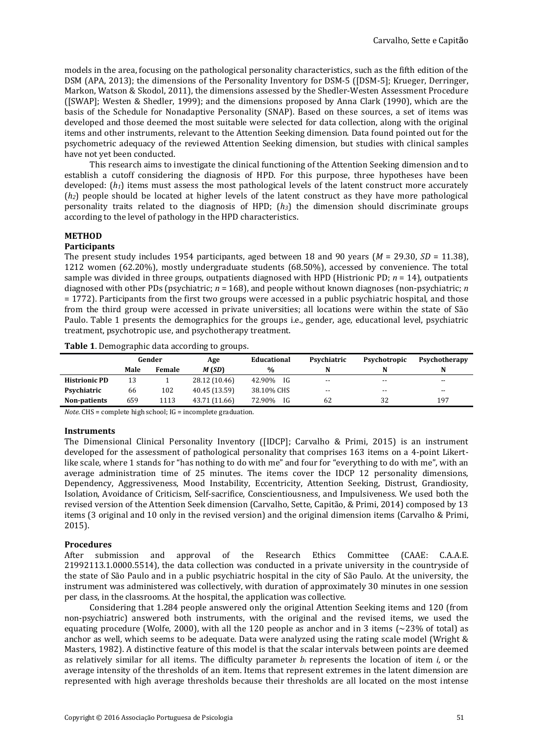models in the area, focusing on the pathological personality characteristics, such as the fifth edition of the DSM (APA, 2013); the dimensions of the Personality Inventory for DSM-5 ([DSM-5]; Krueger, Derringer, Markon, Watson & Skodol, 2011), the dimensions assessed by the Shedler-Westen Assessment Procedure ([SWAP]; Westen & Shedler, 1999); and the dimensions proposed by Anna Clark (1990), which are the basis of the Schedule for Nonadaptive Personality (SNAP). Based on these sources, a set of items was developed and those deemed the most suitable were selected for data collection, along with the original items and other instruments, relevant to the Attention Seeking dimension. Data found pointed out for the psychometric adequacy of the reviewed Attention Seeking dimension, but studies with clinical samples have not yet been conducted.

This research aims to investigate the clinical functioning of the Attention Seeking dimension and to establish a cutoff considering the diagnosis of HPD. For this purpose, three hypotheses have been developed:  $(h<sub>1</sub>)$  items must assess the most pathological levels of the latent construct more accurately (*h2*) people should be located at higher levels of the latent construct as they have more pathological personality traits related to the diagnosis of HPD; (*h3*) the dimension should discriminate groups according to the level of pathology in the HPD characteristics.

# **METHOD**

#### **Participants**

The present study includes 1954 participants, aged between 18 and 90 years (*M* = 29.30, *SD* = 11.38), 1212 women (62.20%), mostly undergraduate students (68.50%), accessed by convenience. The total sample was divided in three groups, outpatients diagnosed with HPD (Histrionic PD; *n* = 14), outpatients diagnosed with other PDs (psychiatric; *n* = 168), and people without known diagnoses (non-psychiatric; *n* = 1772). Participants from the first two groups were accessed in a public psychiatric hospital, and those from the third group were accessed in private universities; all locations were within the state of São Paulo. Table 1 presents the demographics for the groups i.e., gender, age, educational level, psychiatric treatment, psychotropic use, and psychotherapy treatment.

**Table 1**. Demographic data according to groups.

|                      | Gender |               | Age           | Educational    | Psychiatric | Psychotropic | Psychotherapy |
|----------------------|--------|---------------|---------------|----------------|-------------|--------------|---------------|
|                      | Male   | <b>Female</b> | M (SD)        | %              | N           |              | N             |
| <b>Histrionic PD</b> | 13     |               | 28.12 (10.46) | - IG<br>42.90% | $- -$       | $- -$        | $- -$         |
| Psychiatric          | 66     | 102           | 40.45 (13.59) | 38.10% CHS     | $- -$       | $- -$        | $- -$         |
| Non-patients         | 659    | 1113          | 43.71 (11.66) | 72.90%<br>IG   | 62          | 32           | 197           |

*Note*. CHS = complete high school; IG = incomplete graduation.

#### **Instruments**

The Dimensional Clinical Personality Inventory ([IDCP]; Carvalho & Primi, 2015) is an instrument developed for the assessment of pathological personality that comprises 163 items on a 4-point Likertlike scale, where 1 stands for "has nothing to do with me" and four for "everything to do with me", with an average administration time of 25 minutes. The items cover the IDCP 12 personality dimensions, Dependency, Aggressiveness, Mood Instability, Eccentricity, Attention Seeking, Distrust, Grandiosity, Isolation, Avoidance of Criticism, Self-sacrifice, Conscientiousness, and Impulsiveness. We used both the revised version of the Attention Seek dimension (Carvalho, Sette, Capitão, & Primi, 2014) composed by 13 items (3 original and 10 only in the revised version) and the original dimension items (Carvalho & Primi, 2015).

## **Procedures**

After submission and approval of the Research Ethics Committee (CAAE: C.A.A.E. 21992113.1.0000.5514), the data collection was conducted in a private university in the countryside of the state of São Paulo and in a public psychiatric hospital in the city of São Paulo. At the university, the instrument was administered was collectively, with duration of approximately 30 minutes in one session per class, in the classrooms. At the hospital, the application was collective.

Considering that 1.284 people answered only the original Attention Seeking items and 120 (from non-psychiatric) answered both instruments, with the original and the revised items, we used the equating procedure (Wolfe, 2000), with all the 120 people as anchor and in 3 items ( $\approx$ 23% of total) as anchor as well, which seems to be adequate. Data were analyzed using the rating scale model (Wright & Masters, 1982). A distinctive feature of this model is that the scalar intervals between points are deemed as relatively similar for all items. The difficulty parameter *b<sup>i</sup>* represents the location of item *i*, or the average intensity of the thresholds of an item. Items that represent extremes in the latent dimension are represented with high average thresholds because their thresholds are all located on the most intense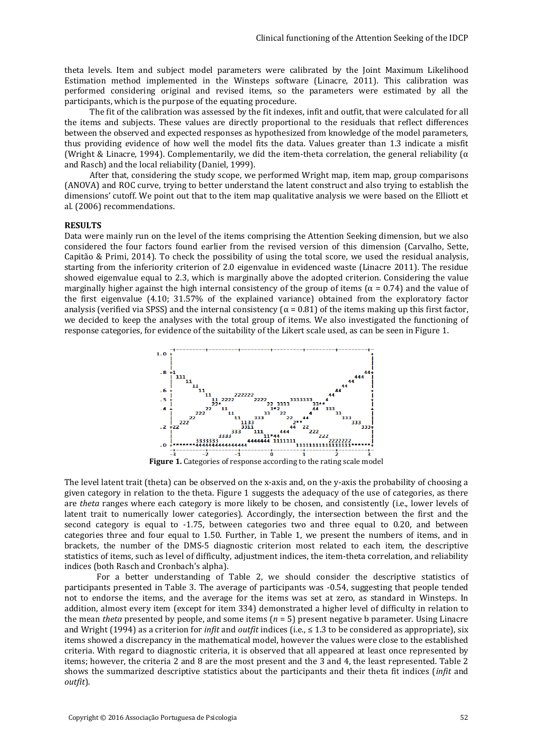theta levels. Item and subject model parameters were calibrated by the Joint Maximum Likelihood Estimation method implemented in the Winsteps software (Linacre, 2011). This calibration was performed considering original and revised items, so the parameters were estimated by all the participants, which is the purpose of the equating procedure.

The fit of the calibration was assessed by the fit indexes, infit and outfit, that were calculated for all the items and subjects. These values are directly proportional to the residuals that reflect differences between the observed and expected responses as hypothesized from knowledge of the model parameters, thus providing evidence of how well the model fits the data. Values greater than 1.3 indicate a misfit (Wright & Linacre, 1994). Complementarily, we did the item-theta correlation, the general reliability ( $\alpha$ ) and Rasch) and the local reliability (Daniel, 1999).

After that, considering the study scope, we performed Wright map, item map, group comparisons (ANOVA) and ROC curve, trying to better understand the latent construct and also trying to establish the dimensions' cutoff. We point out that to the item map qualitative analysis we were based on the Elliott et al. (2006) recommendations.

#### **RESULTS**

Data were mainly run on the level of the items comprising the Attention Seeking dimension, but we also considered the four factors found earlier from the revised version of this dimension (Carvalho, Sette, Capitão & Primi, 2014). To check the possibility of using the total score, we used the residual analysis, starting from the inferiority criterion of 2.0 eigenvalue in evidenced waste (Linacre 2011). The residue showed eigenvalue equal to 2.3, which is marginally above the adopted criterion. Considering the value marginally higher against the high internal consistency of the group of items ( $\alpha$  = 0.74) and the value of the first eigenvalue (4.10; 31.57% of the explained variance) obtained from the exploratory factor analysis (verified via SPSS) and the internal consistency ( $\alpha$  = 0.81) of the items making up this first factor, we decided to keep the analyses with the total group of items. We also investigated the functioning of response categories, for evidence of the suitability of the Likert scale used, as can be seen in Figure 1.



The level latent trait (theta) can be observed on the x-axis and, on the y-axis the probability of choosing a given category in relation to the theta. Figure 1 suggests the adequacy of the use of categories, as there are *theta* ranges where each category is more likely to be chosen, and consistently (i.e., lower levels of latent trait to numerically lower categories). Accordingly, the intersection between the first and the second category is equal to -1.75, between categories two and three equal to 0.20, and between categories three and four equal to 1.50. Further, in Table 1, we present the numbers of items, and in brackets, the number of the DMS-5 diagnostic criterion most related to each item, the descriptive statistics of items, such as level of difficulty, adjustment indices, the item-theta correlation, and reliability indices (both Rasch and Cronbach's alpha).

For a better understanding of Table 2, we should consider the descriptive statistics of participants presented in Table 3. The average of participants was -0.54, suggesting that people tended not to endorse the items, and the average for the items was set at zero, as standard in Winsteps. In addition, almost every item (except for item 334) demonstrated a higher level of difficulty in relation to the mean *theta* presented by people, and some items (*n* = 5) present negative b parameter. Using Linacre and Wright (1994) as a criterion for *infit* and *outfit* indices (i.e., ≤ 1.3 to be considered as appropriate), six items showed a discrepancy in the mathematical model, however the values were close to the established criteria. With regard to diagnostic criteria, it is observed that all appeared at least once represented by items; however, the criteria 2 and 8 are the most present and the 3 and 4, the least represented. Table 2 shows the summarized descriptive statistics about the participants and their theta fit indices (*infit* and *outfit*).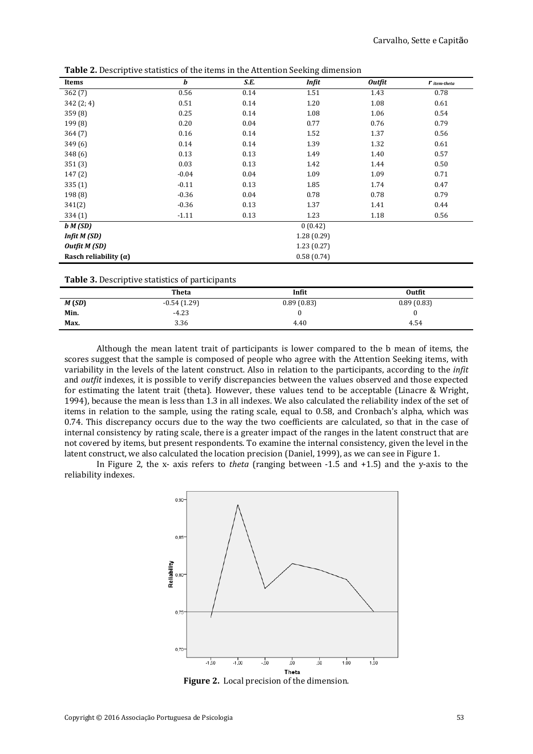| Items                        | b       | S.E.       | Infit      | <b>Outfit</b> | $r$ item-theta |
|------------------------------|---------|------------|------------|---------------|----------------|
| 362(7)                       | 0.56    | 0.14       | 1.51       | 1.43          | 0.78           |
| 342 (2; 4)                   | 0.51    | 0.14       | 1.20       | 1.08          | 0.61           |
| 359 (8)                      | 0.25    | 0.14       | 1.08       | 1.06          | 0.54           |
| 199 (8)                      | 0.20    | 0.04       | 0.77       | 0.76          | 0.79           |
| 364(7)                       | 0.16    | 0.14       | 1.52       | 1.37          | 0.56           |
| 349 (6)                      | 0.14    | 0.14       | 1.39       | 1.32          | 0.61           |
| 348 (6)                      | 0.13    | 0.13       | 1.49       | 1.40          | 0.57           |
| 351(3)                       | 0.03    | 0.13       | 1.42       | 1.44          | 0.50           |
| 147(2)                       | $-0.04$ | 0.04       | 1.09       | 1.09          | 0.71           |
| 335(1)                       | $-0.11$ | 0.13       | 1.85       | 1.74          | 0.47           |
| 198 (8)                      | $-0.36$ | 0.04       | 0.78       | 0.78          | 0.79           |
| 341(2)                       | $-0.36$ | 0.13       | 1.37       | 1.41          | 0.44           |
| 334 (1)                      | $-1.11$ | 0.13       | 1.23       | 1.18          | 0.56           |
| b M(SD)                      |         |            | 0(0.42)    |               |                |
| Infit M (SD)                 |         | 1.28(0.29) |            |               |                |
| Outfit M (SD)                |         |            | 1.23(0.27) |               |                |
| Rasch reliability $(\alpha)$ |         |            | 0.58(0.74) |               |                |

**Table 2.** Descriptive statistics of the items in the Attention Seeking dimension

| Table 3. Descriptive statistics of participants |  |
|-------------------------------------------------|--|
|-------------------------------------------------|--|

|       | <b>Theta</b>  | Infit      | Outfit     |
|-------|---------------|------------|------------|
| M(SD) | $-0.54(1.29)$ | 0.89(0.83) | 0.89(0.83) |
| Min.  | $-4.23$       |            |            |
| Max.  | 3.36          | 4.40       | 4.54       |

Although the mean latent trait of participants is lower compared to the b mean of items, the scores suggest that the sample is composed of people who agree with the Attention Seeking items, with variability in the levels of the latent construct. Also in relation to the participants, according to the *infit* and *outfit* indexes, it is possible to verify discrepancies between the values observed and those expected for estimating the latent trait (theta). However, these values tend to be acceptable (Linacre & Wright, 1994), because the mean is less than 1.3 in all indexes. We also calculated the reliability index of the set of items in relation to the sample, using the rating scale, equal to 0.58, and Cronbach's alpha, which was 0.74. This discrepancy occurs due to the way the two coefficients are calculated, so that in the case of internal consistency by rating scale, there is a greater impact of the ranges in the latent construct that are not covered by items, but present respondents. To examine the internal consistency, given the level in the latent construct, we also calculated the location precision (Daniel, 1999), as we can see in Figure 1.

In Figure 2, the x- axis refers to *theta* (ranging between -1.5 and +1.5) and the y-axis to the reliability indexes.



**Figure 2.**Local precision of the dimension.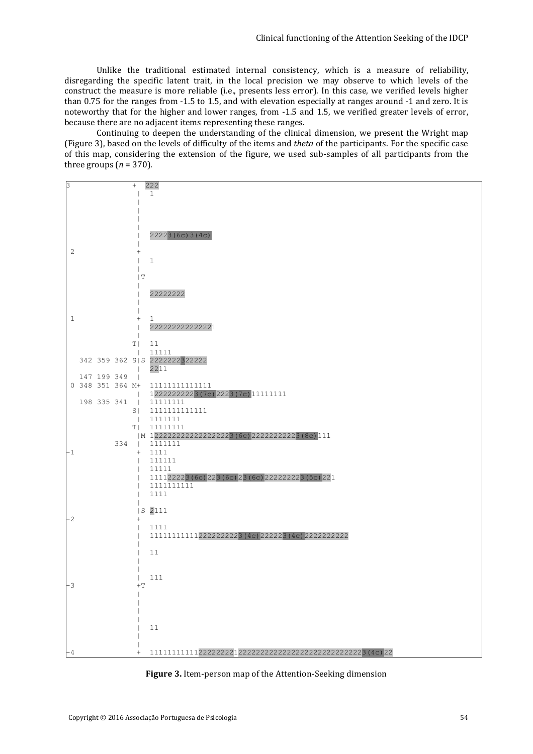Unlike the traditional estimated internal consistency, which is a measure of reliability, disregarding the specific latent trait, in the local precision we may observe to which levels of the construct the measure is more reliable (i.e., presents less error). In this case, we verified levels higher than 0.75 for the ranges from -1.5 to 1.5, and with elevation especially at ranges around -1 and zero. It is noteworthy that for the higher and lower ranges, from -1.5 and 1.5, we verified greater levels of error, because there are no adjacent items representing these ranges.

Continuing to deepen the understanding of the clinical dimension, we present the Wright map (Figure 3), based on the levels of difficulty of the items and *theta* of the participants. For the specific case of this map, considering the extension of the figure, we used sub-samples of all participants from the three groups  $(n = 370)$ .

| 3            |              |             | $^{+}$                   | 222                                                 |
|--------------|--------------|-------------|--------------------------|-----------------------------------------------------|
|              |              |             |                          | $\mathbf{1}$                                        |
|              |              |             |                          |                                                     |
|              |              |             |                          |                                                     |
|              |              |             |                          |                                                     |
|              |              |             |                          |                                                     |
|              |              |             |                          |                                                     |
|              |              |             |                          | 22223(6c)3(4c)                                      |
|              |              |             |                          |                                                     |
| $\mathbf{2}$ |              |             | $^+$                     |                                                     |
|              |              |             |                          | $\mathbf{1}$                                        |
|              |              |             |                          |                                                     |
|              |              |             |                          |                                                     |
|              |              |             | T                        |                                                     |
|              |              |             |                          |                                                     |
|              |              |             |                          | 22222222                                            |
|              |              |             |                          |                                                     |
|              |              |             |                          |                                                     |
|              | $\mathbf{1}$ |             | $^{+}$                   | $\mathbf{1}$                                        |
|              |              |             |                          | 22222222222221                                      |
|              |              |             |                          |                                                     |
|              |              |             |                          |                                                     |
|              |              |             | T                        | 11                                                  |
|              |              |             | $\overline{\phantom{a}}$ | 11111                                               |
|              |              |             |                          | 342 359 362 SIS 2222222322222                       |
|              |              |             |                          | 2211                                                |
|              |              | 147 199 349 | $\mathbf{I}$             |                                                     |
|              |              |             |                          | 0 348 351 364 M+ 111111111111111                    |
|              |              |             |                          |                                                     |
|              |              |             | $\mathbb{R}$             | 12222222223(7c) 2223(7c) 11111111                   |
|              |              | 198 335 341 |                          | 11111111                                            |
|              |              |             | $S \mid$                 | 1111111111111                                       |
|              |              |             |                          | 1111111                                             |
|              |              |             |                          | T  11111111                                         |
|              |              |             |                          | M 1222222222222222223 (6c) 22222222223 (8c) 111     |
|              |              |             |                          | 334   1111111                                       |
| -1           |              |             |                          | $+$ 1111                                            |
|              |              |             |                          |                                                     |
|              |              |             | $\mathbf{I}$             | 111111                                              |
|              |              |             | $\overline{1}$           | 11111                                               |
|              |              |             |                          | 111122223 (6c) 223 (6c) 23 (6c) 2222222223 (5c) 221 |
|              |              |             |                          | 1111111111                                          |
|              |              |             |                          | 1111                                                |
|              |              |             |                          |                                                     |
|              |              |             |                          | S 2111                                              |
| -2           |              |             | $^+$                     |                                                     |
|              |              |             |                          | 1111                                                |
|              |              |             |                          |                                                     |
|              |              |             |                          | 111111111112222222223(4c)222223(4c)22222222222      |
|              |              |             |                          |                                                     |
|              |              |             |                          | 11                                                  |
|              |              |             |                          |                                                     |
|              |              |             |                          |                                                     |
|              |              |             |                          | 111                                                 |
| $-3$         |              |             | $+T$                     |                                                     |
|              |              |             |                          |                                                     |
|              |              |             |                          |                                                     |
|              |              |             |                          |                                                     |
|              |              |             |                          |                                                     |
|              |              |             |                          |                                                     |
|              |              |             |                          | 11                                                  |
|              |              |             |                          |                                                     |
|              |              |             |                          |                                                     |
| - 4          |              |             |                          |                                                     |
|              |              |             |                          |                                                     |

**Figure 3.** Item-person map of the Attention-Seeking dimension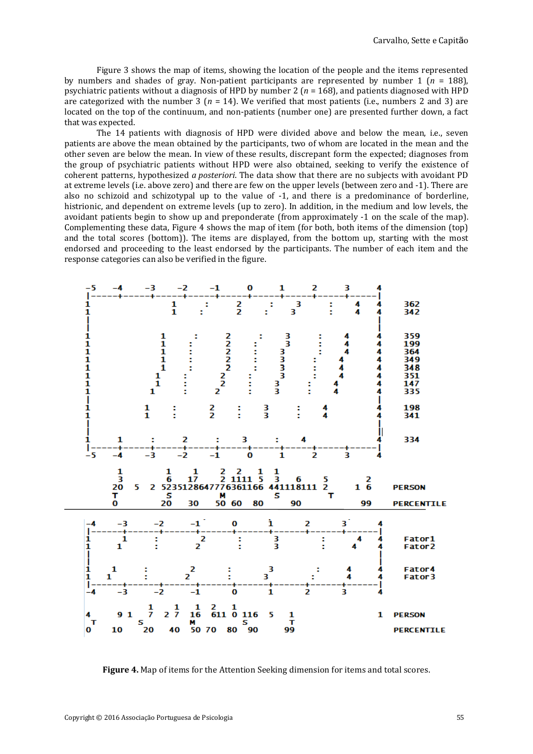Figure 3 shows the map of items, showing the location of the people and the items represented by numbers and shades of gray. Non-patient participants are represented by number 1 (*n* = 188), psychiatric patients without a diagnosis of HPD by number 2 (*n* = 168), and patients diagnosed with HPD are categorized with the number 3 (*n* = 14). We verified that most patients (i.e., numbers 2 and 3) are located on the top of the continuum, and non-patients (number one) are presented further down, a fact that was expected.

The 14 patients with diagnosis of HPD were divided above and below the mean, i.e., seven patients are above the mean obtained by the participants, two of whom are located in the mean and the other seven are below the mean. In view of these results, discrepant form the expected; diagnoses from the group of psychiatric patients without HPD were also obtained, seeking to verify the existence of coherent patterns, hypothesized *a posteriori*. The data show that there are no subjects with avoidant PD at extreme levels (i.e. above zero) and there are few on the upper levels (between zero and -1). There are also no schizoid and schizotypal up to the value of -1, and there is a predominance of borderline, histrionic, and dependent on extreme levels (up to zero). In addition, in the medium and low levels, the avoidant patients begin to show up and preponderate (from approximately -1 on the scale of the map). Complementing these data, Figure 4 shows the map of item (for both, both items of the dimension (top) and the total scores (bottom)). The items are displayed, from the bottom up, starting with the most endorsed and proceeding to the least endorsed by the participants. The number of each item and the response categories can also be verified in the figure.



**Figure 4.** Map of items for the Attention Seeking dimension for items and total scores.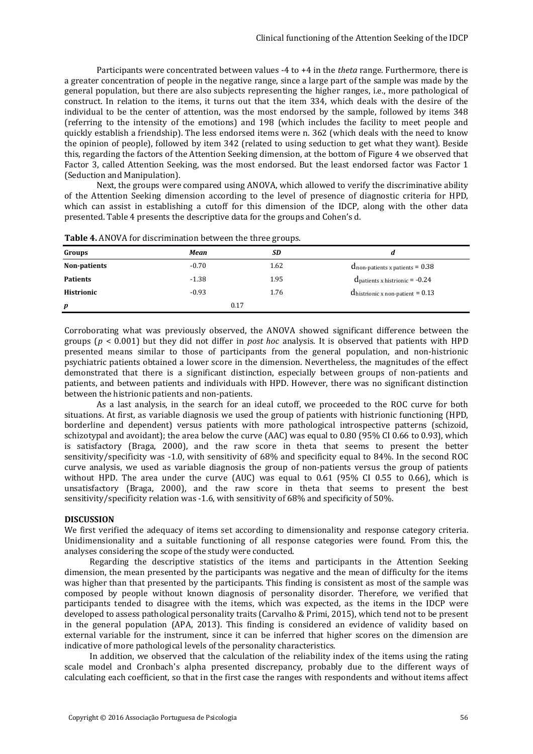Participants were concentrated between values -4 to +4 in the *theta* range. Furthermore, there is a greater concentration of people in the negative range, since a large part of the sample was made by the general population, but there are also subjects representing the higher ranges, i.e., more pathological of construct. In relation to the items, it turns out that the item 334, which deals with the desire of the individual to be the center of attention, was the most endorsed by the sample, followed by items 348 (referring to the intensity of the emotions) and 198 (which includes the facility to meet people and quickly establish a friendship). The less endorsed items were n. 362 (which deals with the need to know the opinion of people), followed by item 342 (related to using seduction to get what they want). Beside this, regarding the factors of the Attention Seeking dimension, at the bottom of Figure 4 we observed that Factor 3, called Attention Seeking, was the most endorsed. But the least endorsed factor was Factor 1 (Seduction and Manipulation).

Next, the groups were compared using ANOVA, which allowed to verify the discriminative ability of the Attention Seeking dimension according to the level of presence of diagnostic criteria for HPD, which can assist in establishing a cutoff for this dimension of the IDCP, along with the other data presented. Table 4 presents the descriptive data for the groups and Cohen's d.

|                   |         | ີ    |                                             |
|-------------------|---------|------|---------------------------------------------|
| Groups            | Mean    | SD   | a                                           |
| Non-patients      | $-0.70$ | 1.62 | $d_{\text{non-patients}}$ x patients = 0.38 |
| <b>Patients</b>   | $-1.38$ | 1.95 | $d$ patients x histrionic = $-0.24$         |
| <b>Histrionic</b> | $-0.93$ | 1.76 | $\Omega$ histrionic x non-patient = 0.13    |
| p                 |         | 0.17 |                                             |
|                   |         |      |                                             |

**Table 4.** ANOVA for discrimination between the three groups.

Corroborating what was previously observed, the ANOVA showed significant difference between the groups (*p* < 0.001) but they did not differ in *post hoc* analysis. It is observed that patients with HPD presented means similar to those of participants from the general population, and non-histrionic psychiatric patients obtained a lower score in the dimension. Nevertheless, the magnitudes of the effect demonstrated that there is a significant distinction, especially between groups of non-patients and patients, and between patients and individuals with HPD. However, there was no significant distinction between the histrionic patients and non-patients.

As a last analysis, in the search for an ideal cutoff, we proceeded to the ROC curve for both situations. At first, as variable diagnosis we used the group of patients with histrionic functioning (HPD, borderline and dependent) versus patients with more pathological introspective patterns (schizoid, schizotypal and avoidant); the area below the curve (AAC) was equal to 0.80 (95% CI 0.66 to 0.93), which is satisfactory (Braga, 2000), and the raw score in theta that seems to present the better sensitivity/specificity was -1.0, with sensitivity of 68% and specificity equal to 84%. In the second ROC curve analysis, we used as variable diagnosis the group of non-patients versus the group of patients without HPD. The area under the curve (AUC) was equal to 0.61 (95% CI 0.55 to 0.66), which is unsatisfactory (Braga, 2000), and the raw score in theta that seems to present the best sensitivity/specificity relation was -1.6, with sensitivity of 68% and specificity of 50%.

## **DISCUSSION**

We first verified the adequacy of items set according to dimensionality and response category criteria. Unidimensionality and a suitable functioning of all response categories were found. From this, the analyses considering the scope of the study were conducted.

Regarding the descriptive statistics of the items and participants in the Attention Seeking dimension, the mean presented by the participants was negative and the mean of difficulty for the items was higher than that presented by the participants. This finding is consistent as most of the sample was composed by people without known diagnosis of personality disorder. Therefore, we verified that participants tended to disagree with the items, which was expected, as the items in the IDCP were developed to assess pathological personality traits (Carvalho & Primi, 2015), which tend not to be present in the general population (APA, 2013). This finding is considered an evidence of validity based on external variable for the instrument, since it can be inferred that higher scores on the dimension are indicative of more pathological levels of the personality characteristics.

In addition, we observed that the calculation of the reliability index of the items using the rating scale model and Cronbach's alpha presented discrepancy, probably due to the different ways of calculating each coefficient, so that in the first case the ranges with respondents and without items affect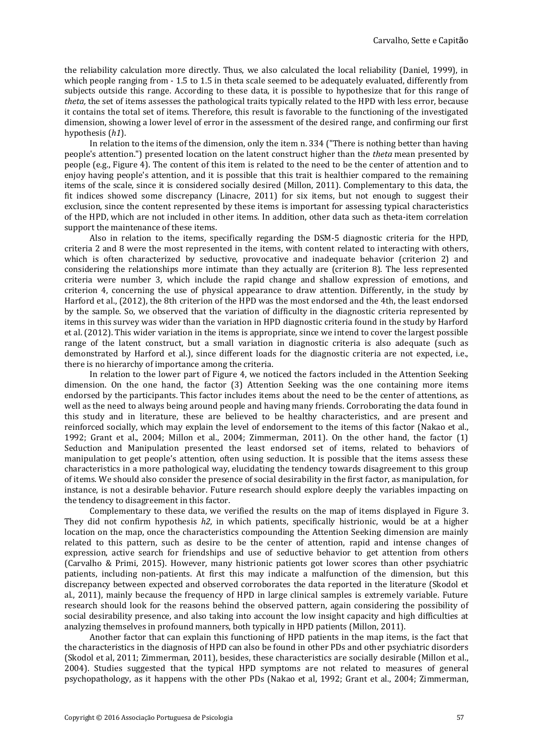the reliability calculation more directly. Thus, we also calculated the local reliability (Daniel, 1999), in which people ranging from  $-1.5$  to 1.5 in theta scale seemed to be adequately evaluated, differently from subjects outside this range. According to these data, it is possible to hypothesize that for this range of *theta,* the set of items assesses the pathological traits typically related to the HPD with less error, because it contains the total set of items. Therefore, this result is favorable to the functioning of the investigated dimension, showing a lower level of error in the assessment of the desired range, and confirming our first hypothesis (*h1*).

In relation to the items of the dimension, only the item n. 334 ("There is nothing better than having people's attention.") presented location on the latent construct higher than the *theta* mean presented by people (e.g., Figure 4). The content of this item is related to the need to be the center of attention and to enjoy having people's attention, and it is possible that this trait is healthier compared to the remaining items of the scale, since it is considered socially desired (Millon, 2011). Complementary to this data, the fit indices showed some discrepancy (Linacre, 2011) for six items, but not enough to suggest their exclusion, since the content represented by these items is important for assessing typical characteristics of the HPD, which are not included in other items. In addition, other data such as theta-item correlation support the maintenance of these items.

Also in relation to the items, specifically regarding the DSM-5 diagnostic criteria for the HPD, criteria 2 and 8 were the most represented in the items, with content related to interacting with others, which is often characterized by seductive, provocative and inadequate behavior (criterion 2) and considering the relationships more intimate than they actually are (criterion 8). The less represented criteria were number 3, which include the rapid change and shallow expression of emotions, and criterion 4, concerning the use of physical appearance to draw attention. Differently, in the study by Harford et al., (2012), the 8th criterion of the HPD was the most endorsed and the 4th, the least endorsed by the sample. So, we observed that the variation of difficulty in the diagnostic criteria represented by items in this survey was wider than the variation in HPD diagnostic criteria found in the study by Harford et al. (2012). This wider variation in the items is appropriate, since we intend to cover the largest possible range of the latent construct, but a small variation in diagnostic criteria is also adequate (such as demonstrated by Harford et al.), since different loads for the diagnostic criteria are not expected, i.e., there is no hierarchy of importance among the criteria.

In relation to the lower part of Figure 4, we noticed the factors included in the Attention Seeking dimension. On the one hand, the factor (3) Attention Seeking was the one containing more items endorsed by the participants. This factor includes items about the need to be the center of attentions, as well as the need to always being around people and having many friends. Corroborating the data found in this study and in literature, these are believed to be healthy characteristics, and are present and reinforced socially, which may explain the level of endorsement to the items of this factor (Nakao et al., 1992; Grant et al., 2004; Millon et al., 2004; Zimmerman, 2011). On the other hand, the factor (1) Seduction and Manipulation presented the least endorsed set of items, related to behaviors of manipulation to get people's attention, often using seduction. It is possible that the items assess these characteristics in a more pathological way, elucidating the tendency towards disagreement to this group of items. We should also consider the presence of social desirability in the first factor, as manipulation, for instance, is not a desirable behavior. Future research should explore deeply the variables impacting on the tendency to disagreement in this factor.

Complementary to these data, we verified the results on the map of items displayed in Figure 3. They did not confirm hypothesis *h2*, in which patients, specifically histrionic, would be at a higher location on the map, once the characteristics compounding the Attention Seeking dimension are mainly related to this pattern, such as desire to be the center of attention, rapid and intense changes of expression, active search for friendships and use of seductive behavior to get attention from others (Carvalho & Primi, 2015). However, many histrionic patients got lower scores than other psychiatric patients, including non-patients. At first this may indicate a malfunction of the dimension, but this discrepancy between expected and observed corroborates the data reported in the literature (Skodol et al., 2011), mainly because the frequency of HPD in large clinical samples is extremely variable. Future research should look for the reasons behind the observed pattern, again considering the possibility of social desirability presence, and also taking into account the low insight capacity and high difficulties at analyzing themselves in profound manners, both typically in HPD patients (Millon, 2011).

Another factor that can explain this functioning of HPD patients in the map items, is the fact that the characteristics in the diagnosis of HPD can also be found in other PDs and other psychiatric disorders (Skodol et al, 2011; Zimmerman, 2011), besides, these characteristics are socially desirable (Millon et al., 2004). Studies suggested that the typical HPD symptoms are not related to measures of general psychopathology, as it happens with the other PDs (Nakao et al, 1992; Grant et al., 2004; Zimmerman,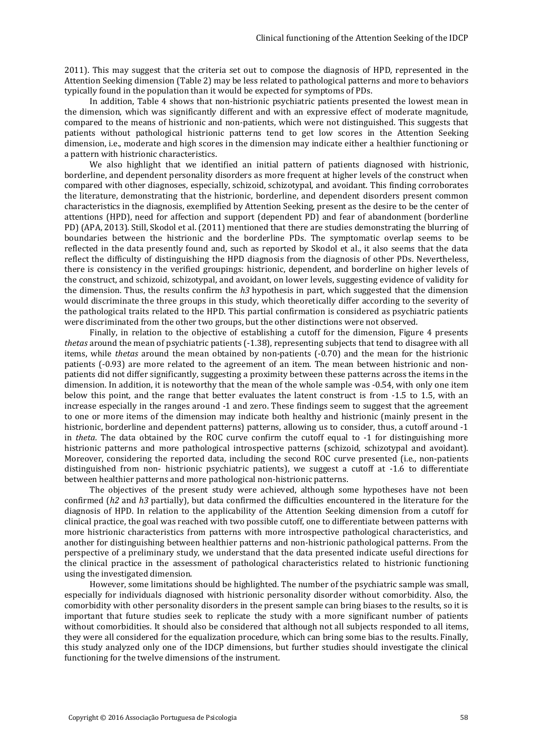2011). This may suggest that the criteria set out to compose the diagnosis of HPD, represented in the Attention Seeking dimension (Table 2) may be less related to pathological patterns and more to behaviors typically found in the population than it would be expected for symptoms of PDs.

In addition, Table 4 shows that non-histrionic psychiatric patients presented the lowest mean in the dimension, which was significantly different and with an expressive effect of moderate magnitude, compared to the means of histrionic and non-patients, which were not distinguished. This suggests that patients without pathological histrionic patterns tend to get low scores in the Attention Seeking dimension, i.e., moderate and high scores in the dimension may indicate either a healthier functioning or a pattern with histrionic characteristics.

We also highlight that we identified an initial pattern of patients diagnosed with histrionic, borderline, and dependent personality disorders as more frequent at higher levels of the construct when compared with other diagnoses, especially, schizoid, schizotypal, and avoidant. This finding corroborates the literature, demonstrating that the histrionic, borderline, and dependent disorders present common characteristics in the diagnosis, exemplified by Attention Seeking, present as the desire to be the center of attentions (HPD), need for affection and support (dependent PD) and fear of abandonment (borderline PD) (APA, 2013). Still, Skodol et al. (2011) mentioned that there are studies demonstrating the blurring of boundaries between the histrionic and the borderline PDs. The symptomatic overlap seems to be reflected in the data presently found and, such as reported by Skodol et al., it also seems that the data reflect the difficulty of distinguishing the HPD diagnosis from the diagnosis of other PDs. Nevertheless, there is consistency in the verified groupings: histrionic, dependent, and borderline on higher levels of the construct, and schizoid, schizotypal, and avoidant, on lower levels, suggesting evidence of validity for the dimension. Thus, the results confirm the *h3* hypothesis in part, which suggested that the dimension would discriminate the three groups in this study, which theoretically differ according to the severity of the pathological traits related to the HPD. This partial confirmation is considered as psychiatric patients were discriminated from the other two groups, but the other distinctions were not observed.

Finally, in relation to the objective of establishing a cutoff for the dimension, Figure 4 presents *thetas* around the mean of psychiatric patients (-1.38), representing subjects that tend to disagree with all items, while *thetas* around the mean obtained by non-patients (-0.70) and the mean for the histrionic patients (-0.93) are more related to the agreement of an item. The mean between histrionic and nonpatients did not differ significantly, suggesting a proximity between these patterns across the items in the dimension. In addition, it is noteworthy that the mean of the whole sample was -0.54, with only one item below this point, and the range that better evaluates the latent construct is from -1.5 to 1.5, with an increase especially in the ranges around -1 and zero. These findings seem to suggest that the agreement to one or more items of the dimension may indicate both healthy and histrionic (mainly present in the histrionic, borderline and dependent patterns) patterns, allowing us to consider, thus, a cutoff around -1 in *theta*. The data obtained by the ROC curve confirm the cutoff equal to -1 for distinguishing more histrionic patterns and more pathological introspective patterns (schizoid, schizotypal and avoidant). Moreover, considering the reported data, including the second ROC curve presented (i.e., non-patients distinguished from non- histrionic psychiatric patients), we suggest a cutoff at -1.6 to differentiate between healthier patterns and more pathological non-histrionic patterns.

The objectives of the present study were achieved, although some hypotheses have not been confirmed (*h2* and *h3* partially), but data confirmed the difficulties encountered in the literature for the diagnosis of HPD. In relation to the applicability of the Attention Seeking dimension from a cutoff for clinical practice, the goal was reached with two possible cutoff, one to differentiate between patterns with more histrionic characteristics from patterns with more introspective pathological characteristics, and another for distinguishing between healthier patterns and non-histrionic pathological patterns. From the perspective of a preliminary study, we understand that the data presented indicate useful directions for the clinical practice in the assessment of pathological characteristics related to histrionic functioning using the investigated dimension.

However, some limitations should be highlighted. The number of the psychiatric sample was small, especially for individuals diagnosed with histrionic personality disorder without comorbidity. Also, the comorbidity with other personality disorders in the present sample can bring biases to the results, so it is important that future studies seek to replicate the study with a more significant number of patients without comorbidities. It should also be considered that although not all subjects responded to all items, they were all considered for the equalization procedure, which can bring some bias to the results. Finally, this study analyzed only one of the IDCP dimensions, but further studies should investigate the clinical functioning for the twelve dimensions of the instrument.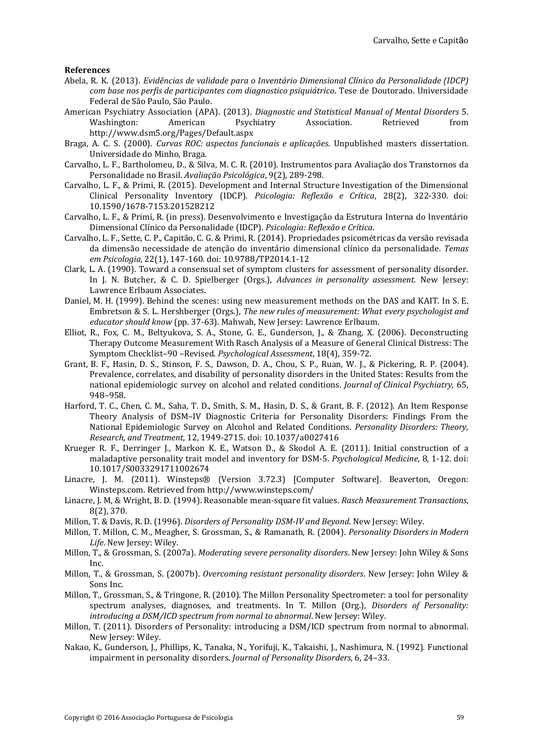#### **References**

- Abela, R. K. (2013). *Evidências de validade para o Inventário Dimensional Clínico da Personalidade (IDCP) com base nos perfis de participantes com diagnostico psiquiátrico*. Tese de Doutorado. Universidade Federal de São Paulo, São Paulo.
- American Psychiatry Association (APA). (2013). *Diagnostic and Statistical Manual of Mental Disorders* 5. Washington: American Psychiatry Association. Retrieved from <http://www.dsm5.org/Pages/Default.aspx>
- Braga, A. C. S. (2000). *Curvas ROC: aspectos funcionais e aplicações*. Unpublished masters dissertation. Universidade do Minho, Braga.
- Carvalho, L. F., Bartholomeu, D., & Silva, M. C. R. (2010). Instrumentos para Avaliação dos Transtornos da Personalidade no Brasil. *Avaliação Psicológica*, 9(2), 289-298.
- Carvalho, L. F., & Primi, R. (2015). Development and Internal Structure Investigation of the Dimensional Clinical Personality Inventory (IDCP). *Psicologia: Reflexão e Crítica*, 28(2), 322-330. doi: 10.1590/1678-7153.201528212
- Carvalho, L. F., & Primi, R. (in press). Desenvolvimento e Investigação da Estrutura Interna do Inventário Dimensional Clínico da Personalidade (IDCP). *Psicologia: Reflexão e Crítica*.
- Carvalho, L. F., Sette, C. P., Capitão, C. G. & Primi, R. (2014). Propriedades psicométricas da versão revisada da dimensão necessidade de atenção do inventário dimensional clínico da personalidade. *Temas em Psicologia,* 22(1), 147-160. doi: 10.9788/TP2014.1-12
- Clark, L. A. (1990). Toward a consensual set of symptom clusters for assessment of personality disorder. In J. N. Butcher, & C. D. Spielberger (Orgs.), *Advances in personality assessment*. New Jersey: Lawrence Erlbaum Associates.
- Daniel, M. H. (1999). Behind the scenes: using new measurement methods on the DAS and KAIT. In S. E. Embretson & S. L. Hershberger (Orgs.), *The new rules of measurement: What every psychologist and educator should know* (pp. 37-63). Mahwah, New Jersey: Lawrence Erlbaum.
- Elliot, R., Fox, C. M., Beltyukova, S. A., Stone, G. E., Gunderson, J., & Zhang, X. (2006). Deconstructing Therapy Outcome Measurement With Rasch Analysis of a Measure of General Clinical Distress: The Symptom Checklist–90 –Revised. *Psychological Assessment*, 18(4), 359-72.
- Grant, B. F., Hasin, D. S., Stinson, F. S., Dawson, D. A., Chou, S. P., Ruan, W. J., & Pickering, R. P. (2004). Prevalence, correlates, and disability of personality disorders in the United States: Results from the national epidemiologic survey on alcohol and related conditions. *Journal of Clinical Psychiatry,* 65, 948–958.
- Harford, T. C., Chen, C. M., Saha, T. D., Smith, S. M., Hasin, D. S., & Grant, B. F. (2012). An Item Response Theory Analysis of DSM–IV Diagnostic Criteria for Personality Disorders: Findings From the National Epidemiologic Survey on Alcohol and Related Conditions. *Personality Disorders: Theory, Research, and Treatment*, 12, 1949-2715. doi: 10.1037/a0027416
- Krueger R. F., Derringer J., Markon K. E., Watson D., & Skodol A. E. (2011). Initial construction of a maladaptive personality trait model and inventory for DSM-5. *Psychological Medicine*, 8, 1-12. doi: 10.1017/S0033291711002674
- Linacre, J. M. (2011). Winsteps® (Version 3.72.3) [Computer Software]. Beaverton, Oregon: Winsteps.com. Retrieved from http://www.winsteps.com/
- Linacre, J. M, & Wright, B. D. (1994). Reasonable mean-square fit values. *Rasch Measurement Transactions*, 8(2), 370.
- Millon, T. & Davis, R. D. (1996). *Disorders of Personality DSM-IV and Beyond*. New Jersey: Wiley.
- Millon, T. Millon, C. M., Meagher, S. Grossman, S., & Ramanath, R. (2004). *Personality Disorders in Modern Life*. New Jersey: Wiley.
- Millon, T., & Grossman, S. (2007a). *Moderating severe personality disorders*. New Jersey: John Wiley & Sons Inc.
- Millon, T., & Grossman, S. (2007b). *Overcoming resistant personality disorders*. New Jersey: John Wiley & Sons Inc.
- Millon, T., Grossman, S., & Tringone, R. (2010). The Millon Personality Spectrometer: a tool for personality spectrum analyses, diagnoses, and treatments. In T. Millon (Org.), *Disorders of Personality: introducing a DSM/ICD spectrum from normal to abnormal*. New Jersey: Wiley.
- Millon, T. (2011). Disorders of Personality: introducing a DSM/ICD spectrum from normal to abnormal. New Jersey: Wiley.
- Nakao, K., Gunderson, J., Phillips, K., Tanaka, N., Yorifuji, K., Takaishi, J., Nashimura, N. (1992). Functional impairment in personality disorders. *Journal of Personality Disorders,* 6, 24–33.